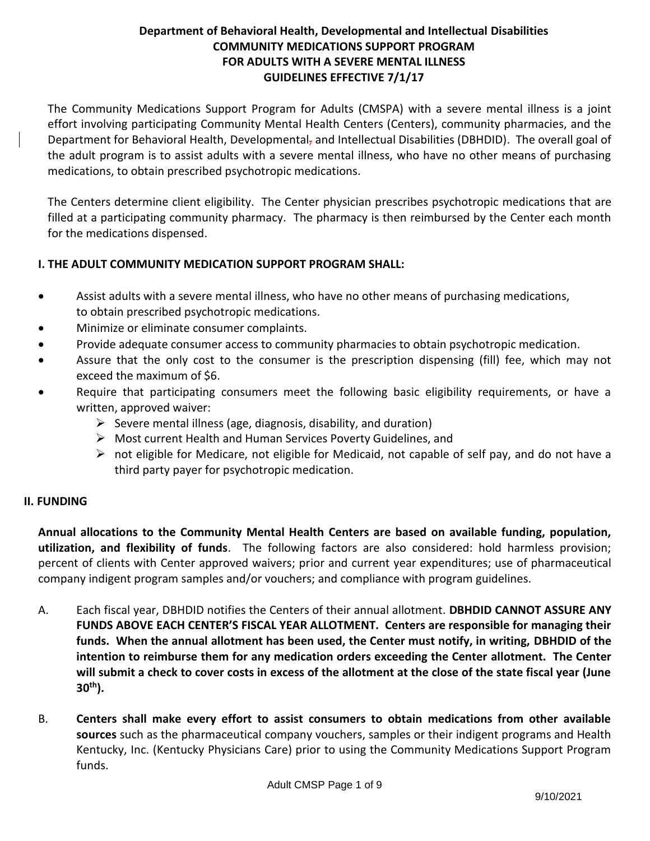### **Department of Behavioral Health, Developmental and Intellectual Disabilities COMMUNITY MEDICATIONS SUPPORT PROGRAM FOR ADULTS WITH A SEVERE MENTAL ILLNESS GUIDELINES EFFECTIVE 7/1/17**

The Community Medications Support Program for Adults (CMSPA) with a severe mental illness is a joint effort involving participating Community Mental Health Centers (Centers), community pharmacies, and the Department for Behavioral Health, Developmental, and Intellectual Disabilities (DBHDID). The overall goal of the adult program is to assist adults with a severe mental illness, who have no other means of purchasing medications, to obtain prescribed psychotropic medications.

The Centers determine client eligibility. The Center physician prescribes psychotropic medications that are filled at a participating community pharmacy. The pharmacy is then reimbursed by the Center each month for the medications dispensed.

#### **I. THE ADULT COMMUNITY MEDICATION SUPPORT PROGRAM SHALL:**

- Assist adults with a severe mental illness, who have no other means of purchasing medications, to obtain prescribed psychotropic medications.
- Minimize or eliminate consumer complaints.
- Provide adequate consumer access to community pharmacies to obtain psychotropic medication.
- Assure that the only cost to the consumer is the prescription dispensing (fill) fee, which may not exceed the maximum of \$6.
- Require that participating consumers meet the following basic eligibility requirements, or have a written, approved waiver:
	- $\triangleright$  Severe mental illness (age, diagnosis, disability, and duration)
	- ➢ Most current Health and Human Services Poverty Guidelines, and
	- ➢ not eligible for Medicare, not eligible for Medicaid, not capable of self pay, and do not have a third party payer for psychotropic medication.

#### **II. FUNDING**

**Annual allocations to the Community Mental Health Centers are based on available funding, population, utilization, and flexibility of funds**. The following factors are also considered: hold harmless provision; percent of clients with Center approved waivers; prior and current year expenditures; use of pharmaceutical company indigent program samples and/or vouchers; and compliance with program guidelines.

- A. Each fiscal year, DBHDID notifies the Centers of their annual allotment. **DBHDID CANNOT ASSURE ANY FUNDS ABOVE EACH CENTER'S FISCAL YEAR ALLOTMENT. Centers are responsible for managing their funds. When the annual allotment has been used, the Center must notify, in writing, DBHDID of the intention to reimburse them for any medication orders exceeding the Center allotment. The Center will submit a check to cover costs in excess of the allotment at the close of the state fiscal year (June 30th).**
- B. **Centers shall make every effort to assist consumers to obtain medications from other available sources** such as the pharmaceutical company vouchers, samples or their indigent programs and Health Kentucky, Inc. (Kentucky Physicians Care) prior to using the Community Medications Support Program funds.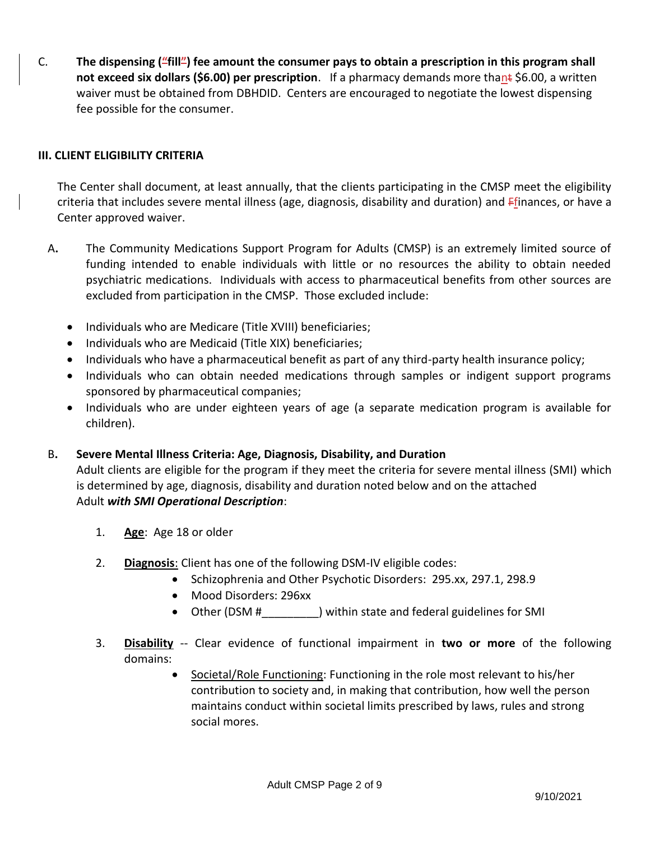C. **The dispensing ("fill") fee amount the consumer pays to obtain a prescription in this program shall not exceed six dollars (\$6.00) per prescription**. If a pharmacy demands more thant \$6.00, a written waiver must be obtained from DBHDID. Centers are encouraged to negotiate the lowest dispensing fee possible for the consumer.

#### **III. CLIENT ELIGIBILITY CRITERIA**

The Center shall document, at least annually, that the clients participating in the CMSP meet the eligibility criteria that includes severe mental illness (age, diagnosis, disability and duration) and Ffinances, or have a Center approved waiver.

- A**.** The Community Medications Support Program for Adults (CMSP) is an extremely limited source of funding intended to enable individuals with little or no resources the ability to obtain needed psychiatric medications. Individuals with access to pharmaceutical benefits from other sources are excluded from participation in the CMSP. Those excluded include:
	- Individuals who are Medicare (Title XVIII) beneficiaries;
	- Individuals who are Medicaid (Title XIX) beneficiaries;
	- Individuals who have a pharmaceutical benefit as part of any third-party health insurance policy;
	- Individuals who can obtain needed medications through samples or indigent support programs sponsored by pharmaceutical companies;
	- Individuals who are under eighteen years of age (a separate medication program is available for children).
- B**. Severe Mental Illness Criteria: Age, Diagnosis, Disability, and Duration**

Adult clients are eligible for the program if they meet the criteria for severe mental illness (SMI) which is determined by age, diagnosis, disability and duration noted below and on the attached Adult *with SMI Operational Description*:

- 1. **Age**: Age 18 or older
- 2. **Diagnosis**: Client has one of the following DSM-IV eligible codes:
	- Schizophrenia and Other Psychotic Disorders: 295.xx, 297.1, 298.9
	- Mood Disorders: 296xx
	- Other (DSM # \_\_\_\_\_\_\_\_\_\_) within state and federal guidelines for SMI
- 3. **Disability** -- Clear evidence of functional impairment in **two or more** of the following domains:
	- Societal/Role Functioning: Functioning in the role most relevant to his/her contribution to society and, in making that contribution, how well the person maintains conduct within societal limits prescribed by laws, rules and strong social mores.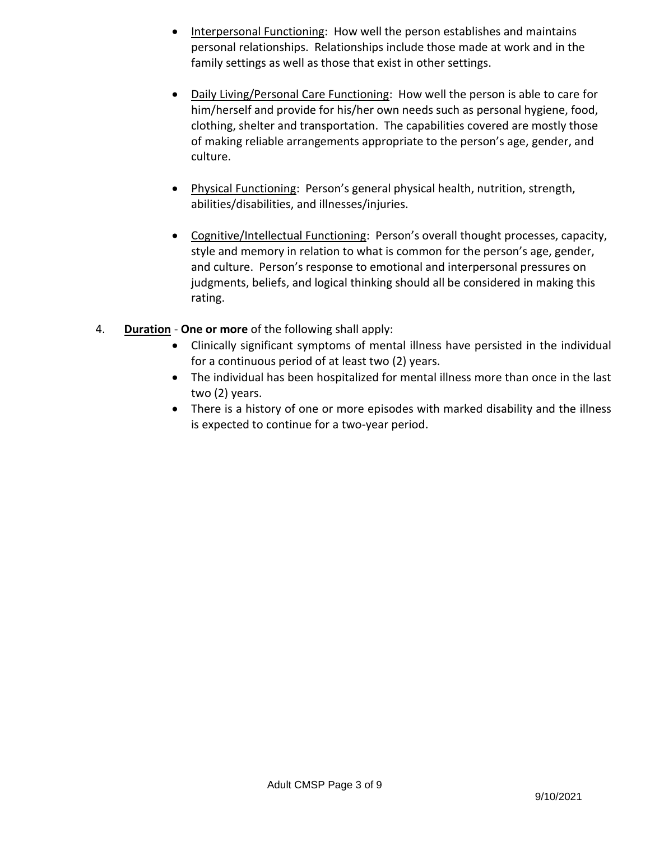- Interpersonal Functioning: How well the person establishes and maintains personal relationships. Relationships include those made at work and in the family settings as well as those that exist in other settings.
- Daily Living/Personal Care Functioning: How well the person is able to care for him/herself and provide for his/her own needs such as personal hygiene, food, clothing, shelter and transportation. The capabilities covered are mostly those of making reliable arrangements appropriate to the person's age, gender, and culture.
- Physical Functioning: Person's general physical health, nutrition, strength, abilities/disabilities, and illnesses/injuries.
- Cognitive/Intellectual Functioning: Person's overall thought processes, capacity, style and memory in relation to what is common for the person's age, gender, and culture. Person's response to emotional and interpersonal pressures on judgments, beliefs, and logical thinking should all be considered in making this rating.
- 4. **Duration One or more** of the following shall apply:
	- Clinically significant symptoms of mental illness have persisted in the individual for a continuous period of at least two (2) years.
	- The individual has been hospitalized for mental illness more than once in the last two (2) years.
	- There is a history of one or more episodes with marked disability and the illness is expected to continue for a two-year period.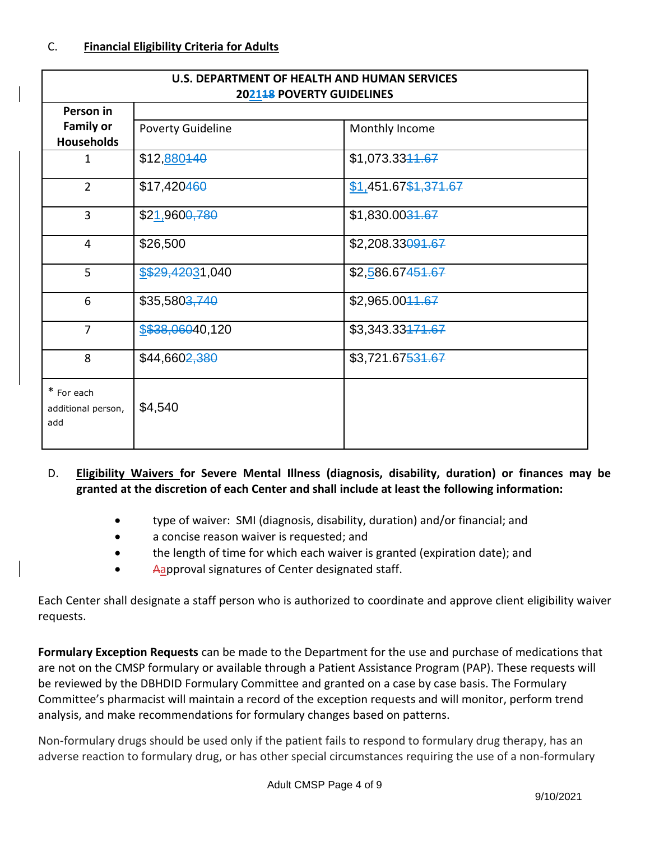| U.S. DEPARTMENT OF HEALTH AND HUMAN SERVICES<br>202148 POVERTY GUIDELINES |                           |                             |  |  |  |
|---------------------------------------------------------------------------|---------------------------|-----------------------------|--|--|--|
| Person in<br><b>Family or</b>                                             | <b>Poverty Guideline</b>  | Monthly Income              |  |  |  |
| <b>Households</b><br>$\mathbf{1}$                                         | \$12,880440               | \$1,073.3344.67             |  |  |  |
| $\overline{2}$                                                            | \$17,420460               | \$1,451.67\$1,371.67        |  |  |  |
| $\overline{3}$                                                            | \$21,960 <del>0,780</del> | \$1,830.00 <del>31.67</del> |  |  |  |
| $\overline{4}$                                                            | \$26,500                  | \$2,208.33091.67            |  |  |  |
| 5                                                                         | \$\$29,42031,040          | \$2,586.67451.67            |  |  |  |
| 6                                                                         | \$35,580 <del>3,740</del> | \$2,965.0044.67             |  |  |  |
| $\overline{7}$                                                            | \$\$38,06040,120          | \$3,343.33471.67            |  |  |  |
| 8                                                                         | \$44,660 <del>2,380</del> | \$3,721.67531.67            |  |  |  |
| * For each<br>additional person,<br>add                                   | \$4,540                   |                             |  |  |  |

### D. **Eligibility Waivers for Severe Mental Illness (diagnosis, disability, duration) or finances may be granted at the discretion of each Center and shall include at least the following information:**

- type of waiver: SMI (diagnosis, disability, duration) and/or financial; and
- a concise reason waiver is requested; and
- the length of time for which each waiver is granted (expiration date); and
- Aapproval signatures of Center designated staff.

Each Center shall designate a staff person who is authorized to coordinate and approve client eligibility waiver requests.

**Formulary Exception Requests** can be made to the Department for the use and purchase of medications that are not on the CMSP formulary or available through a Patient Assistance Program (PAP). These requests will be reviewed by the DBHDID Formulary Committee and granted on a case by case basis. The Formulary Committee's pharmacist will maintain a record of the exception requests and will monitor, perform trend analysis, and make recommendations for formulary changes based on patterns.

Non-formulary drugs should be used only if the patient fails to respond to formulary drug therapy, has an adverse reaction to formulary drug, or has other special circumstances requiring the use of a non-formulary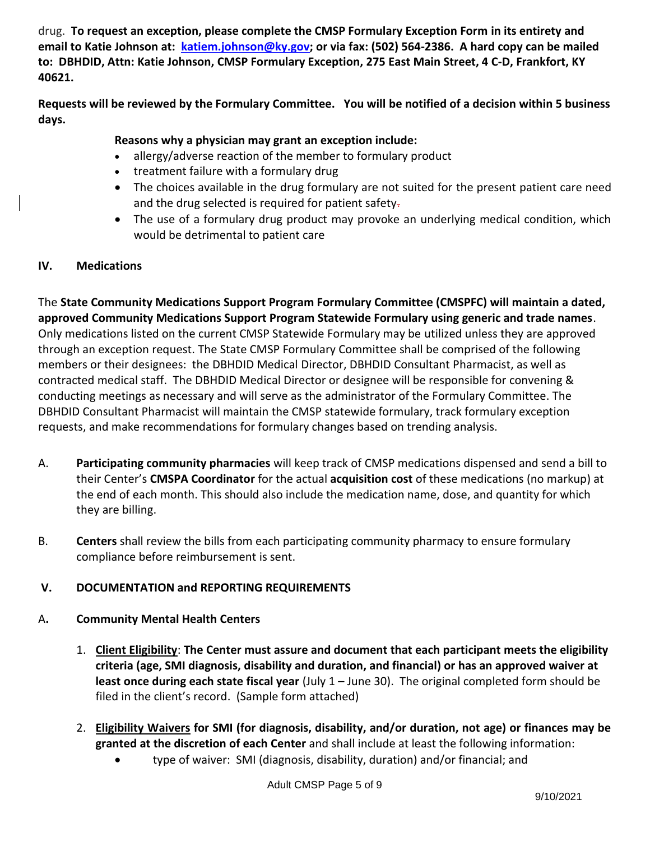drug. **To request an exception, please complete the CMSP Formulary Exception Form in its entirety and email to Katie Johnson at: [katiem.johnson@ky.gov;](mailto:katiem.johnson@ky.gov) or via fax: (502) 564-2386. A hard copy can be mailed to: DBHDID, Attn: Katie Johnson, CMSP Formulary Exception, 275 East Main Street, 4 C-D, Frankfort, KY 40621.**

**Requests will be reviewed by the Formulary Committee. You will be notified of a decision within 5 business days.**

#### **Reasons why a physician may grant an exception include:**

- allergy/adverse reaction of the member to formulary product
- treatment failure with a formulary drug
- The choices available in the drug formulary are not suited for the present patient care need and the drug selected is required for patient safety-
- The use of a formulary drug product may provoke an underlying medical condition, which would be detrimental to patient care

#### **IV. Medications**

The **State Community Medications Support Program Formulary Committee (CMSPFC) will maintain a dated, approved Community Medications Support Program Statewide Formulary using generic and trade names**. Only medications listed on the current CMSP Statewide Formulary may be utilized unless they are approved through an exception request. The State CMSP Formulary Committee shall be comprised of the following members or their designees: the DBHDID Medical Director, DBHDID Consultant Pharmacist, as well as contracted medical staff. The DBHDID Medical Director or designee will be responsible for convening & conducting meetings as necessary and will serve as the administrator of the Formulary Committee. The DBHDID Consultant Pharmacist will maintain the CMSP statewide formulary, track formulary exception requests, and make recommendations for formulary changes based on trending analysis.

- A. **Participating community pharmacies** will keep track of CMSP medications dispensed and send a bill to their Center's **CMSPA Coordinator** for the actual **acquisition cost** of these medications (no markup) at the end of each month. This should also include the medication name, dose, and quantity for which they are billing.
- B. **Centers** shall review the bills from each participating community pharmacy to ensure formulary compliance before reimbursement is sent.

#### **V. DOCUMENTATION and REPORTING REQUIREMENTS**

#### A**. Community Mental Health Centers**

- 1. **Client Eligibility**: **The Center must assure and document that each participant meets the eligibility criteria (age, SMI diagnosis, disability and duration, and financial) or has an approved waiver at least once during each state fiscal year** (July 1 – June 30). The original completed form should be filed in the client's record. (Sample form attached)
- 2. **Eligibility Waivers for SMI (for diagnosis, disability, and/or duration, not age) or finances may be granted at the discretion of each Center** and shall include at least the following information:
	- type of waiver: SMI (diagnosis, disability, duration) and/or financial; and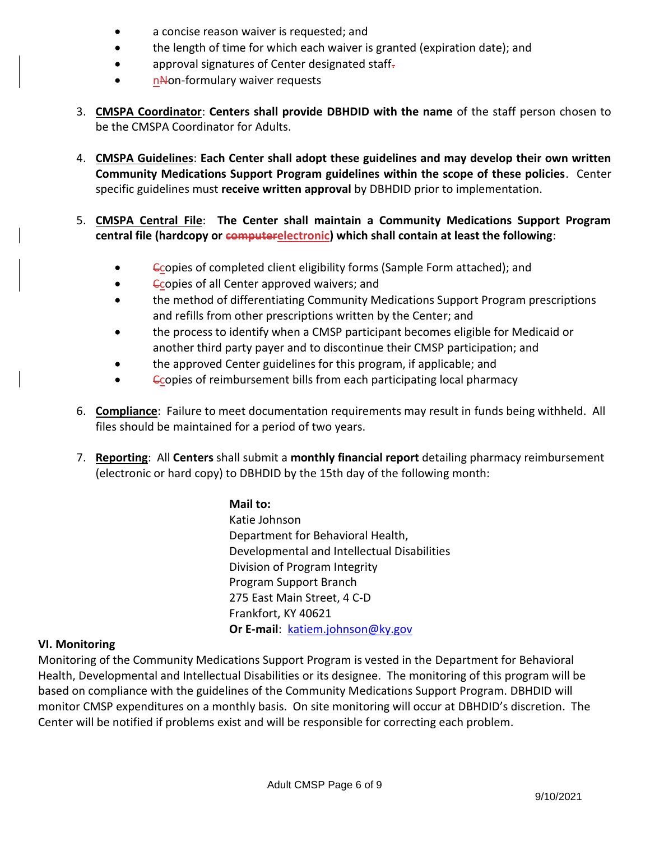- a concise reason waiver is requested; and
- the length of time for which each waiver is granted (expiration date); and
- approval signatures of Center designated staff-
- nNon-formulary waiver requests
- 3. **CMSPA Coordinator**: **Centers shall provide DBHDID with the name** of the staff person chosen to be the CMSPA Coordinator for Adults.
- 4. **CMSPA Guidelines**: **Each Center shall adopt these guidelines and may develop their own written Community Medications Support Program guidelines within the scope of these policies**. Center specific guidelines must **receive written approval** by DBHDID prior to implementation.
- 5. **CMSPA Central File**: **The Center shall maintain a Community Medications Support Program central file (hardcopy or computerelectronic) which shall contain at least the following**:
	- Ccopies of completed client eligibility forms (Sample Form attached); and
	- **Copies of all Center approved waivers; and**
	- the method of differentiating Community Medications Support Program prescriptions and refills from other prescriptions written by the Center; and
	- the process to identify when a CMSP participant becomes eligible for Medicaid or another third party payer and to discontinue their CMSP participation; and
	- the approved Center guidelines for this program, if applicable; and
	- **Copies of reimbursement bills from each participating local pharmacy**
- 6. **Compliance**: Failure to meet documentation requirements may result in funds being withheld. All files should be maintained for a period of two years.
- 7. **Reporting**: All **Centers** shall submit a **monthly financial report** detailing pharmacy reimbursement (electronic or hard copy) to DBHDID by the 15th day of the following month:

#### **Mail to:**

Katie Johnson Department for Behavioral Health, Developmental and Intellectual Disabilities Division of Program Integrity Program Support Branch 275 East Main Street, 4 C-D Frankfort, KY 40621 **Or E-mail**: [katiem.johnson@ky.gov](mailto:katiem.johnson@ky.gov)

#### **VI. Monitoring**

Monitoring of the Community Medications Support Program is vested in the Department for Behavioral Health, Developmental and Intellectual Disabilities or its designee. The monitoring of this program will be based on compliance with the guidelines of the Community Medications Support Program. DBHDID will monitor CMSP expenditures on a monthly basis. On site monitoring will occur at DBHDID's discretion. The Center will be notified if problems exist and will be responsible for correcting each problem.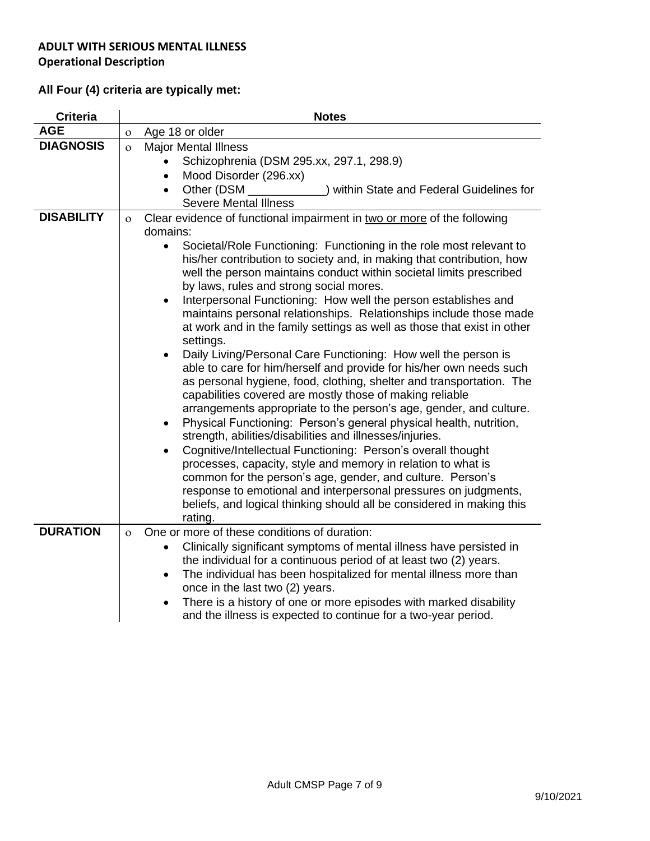# **All Four (4) criteria are typically met:**

| <b>Criteria</b>   | <b>Notes</b>                                                                                                                                                                                                                                                                                                                                                                                                                                                                                                                                                                                                                                                                                                                                                                                                                                                                                                                                                                                                                                                                                                                                                                                                                                                                                                                                                                                                                                                                                      |  |  |
|-------------------|---------------------------------------------------------------------------------------------------------------------------------------------------------------------------------------------------------------------------------------------------------------------------------------------------------------------------------------------------------------------------------------------------------------------------------------------------------------------------------------------------------------------------------------------------------------------------------------------------------------------------------------------------------------------------------------------------------------------------------------------------------------------------------------------------------------------------------------------------------------------------------------------------------------------------------------------------------------------------------------------------------------------------------------------------------------------------------------------------------------------------------------------------------------------------------------------------------------------------------------------------------------------------------------------------------------------------------------------------------------------------------------------------------------------------------------------------------------------------------------------------|--|--|
| <b>AGE</b>        | Age 18 or older<br>$\overline{O}$                                                                                                                                                                                                                                                                                                                                                                                                                                                                                                                                                                                                                                                                                                                                                                                                                                                                                                                                                                                                                                                                                                                                                                                                                                                                                                                                                                                                                                                                 |  |  |
| <b>DIAGNOSIS</b>  | <b>Major Mental Illness</b><br>$\Omega$<br>Schizophrenia (DSM 295.xx, 297.1, 298.9)<br>Mood Disorder (296.xx)<br>$\bullet$                                                                                                                                                                                                                                                                                                                                                                                                                                                                                                                                                                                                                                                                                                                                                                                                                                                                                                                                                                                                                                                                                                                                                                                                                                                                                                                                                                        |  |  |
|                   | Other (DSM<br>) within State and Federal Guidelines for<br>$\bullet$<br><b>Severe Mental Illness</b>                                                                                                                                                                                                                                                                                                                                                                                                                                                                                                                                                                                                                                                                                                                                                                                                                                                                                                                                                                                                                                                                                                                                                                                                                                                                                                                                                                                              |  |  |
| <b>DISABILITY</b> | Clear evidence of functional impairment in two or more of the following<br>$\Omega$<br>domains:<br>Societal/Role Functioning: Functioning in the role most relevant to<br>$\bullet$<br>his/her contribution to society and, in making that contribution, how<br>well the person maintains conduct within societal limits prescribed<br>by laws, rules and strong social mores.<br>Interpersonal Functioning: How well the person establishes and<br>$\bullet$<br>maintains personal relationships. Relationships include those made<br>at work and in the family settings as well as those that exist in other<br>settings.<br>Daily Living/Personal Care Functioning: How well the person is<br>$\bullet$<br>able to care for him/herself and provide for his/her own needs such<br>as personal hygiene, food, clothing, shelter and transportation. The<br>capabilities covered are mostly those of making reliable<br>arrangements appropriate to the person's age, gender, and culture.<br>Physical Functioning: Person's general physical health, nutrition,<br>$\bullet$<br>strength, abilities/disabilities and illnesses/injuries.<br>Cognitive/Intellectual Functioning: Person's overall thought<br>$\bullet$<br>processes, capacity, style and memory in relation to what is<br>common for the person's age, gender, and culture. Person's<br>response to emotional and interpersonal pressures on judgments,<br>beliefs, and logical thinking should all be considered in making this |  |  |
| <b>DURATION</b>   | rating.                                                                                                                                                                                                                                                                                                                                                                                                                                                                                                                                                                                                                                                                                                                                                                                                                                                                                                                                                                                                                                                                                                                                                                                                                                                                                                                                                                                                                                                                                           |  |  |
|                   | One or more of these conditions of duration:<br>$\Omega$<br>Clinically significant symptoms of mental illness have persisted in<br>the individual for a continuous period of at least two (2) years.<br>The individual has been hospitalized for mental illness more than<br>$\bullet$<br>once in the last two (2) years.<br>There is a history of one or more episodes with marked disability<br>$\bullet$<br>and the illness is expected to continue for a two-year period.                                                                                                                                                                                                                                                                                                                                                                                                                                                                                                                                                                                                                                                                                                                                                                                                                                                                                                                                                                                                                     |  |  |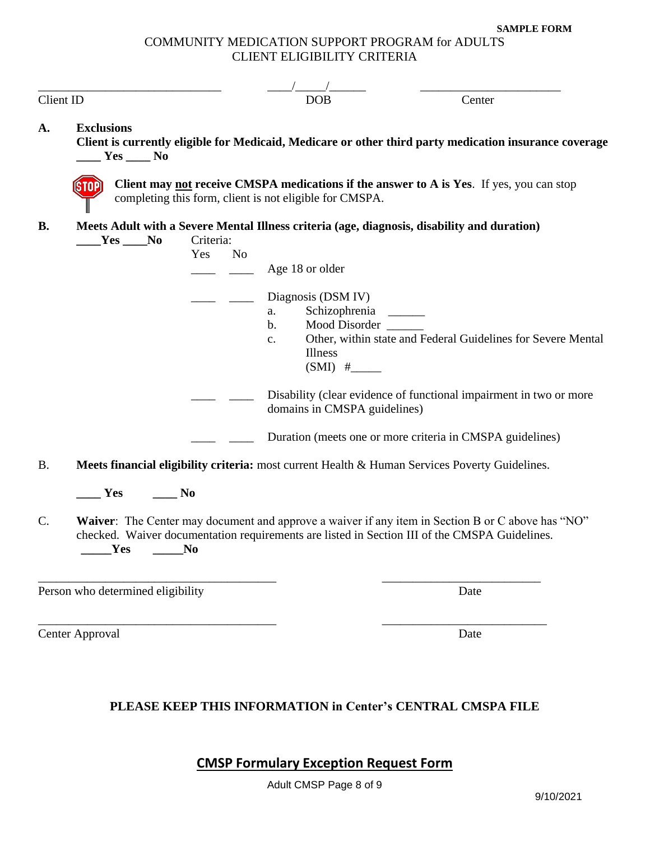**SAMPLE FORM**

#### COMMUNITY MEDICATION SUPPORT PROGRAM for ADULTS CLIENT ELIGIBILITY CRITERIA

| Client ID                                                                                                   | <b>DOB</b>                                                                                                                                                                                         |                                                                                                    | Center                                                                                                 |  |  |  |
|-------------------------------------------------------------------------------------------------------------|----------------------------------------------------------------------------------------------------------------------------------------------------------------------------------------------------|----------------------------------------------------------------------------------------------------|--------------------------------------------------------------------------------------------------------|--|--|--|
| <b>Exclusions</b><br>A.<br>$Yes \_\_No$                                                                     |                                                                                                                                                                                                    |                                                                                                    | Client is currently eligible for Medicaid, Medicare or other third party medication insurance coverage |  |  |  |
| <b>SIOP</b>                                                                                                 | Client may not receive CMSPA medications if the answer to A is Yes. If yes, you can stop<br>completing this form, client is not eligible for CMSPA.                                                |                                                                                                    |                                                                                                        |  |  |  |
| <b>B.</b><br>$Yes$ No<br>Yes                                                                                | Meets Adult with a Severe Mental Illness criteria (age, diagnosis, disability and duration)<br>Criteria:<br>N <sub>o</sub><br>Age 18 or older                                                      |                                                                                                    |                                                                                                        |  |  |  |
|                                                                                                             | Diagnosis (DSM IV)<br>a.<br>b.<br>$C_{\bullet}$<br>Illness                                                                                                                                         | Schizophrenia<br>Mood Disorder                                                                     | Other, within state and Federal Guidelines for Severe Mental                                           |  |  |  |
|                                                                                                             |                                                                                                                                                                                                    | Disability (clear evidence of functional impairment in two or more<br>domains in CMSPA guidelines) |                                                                                                        |  |  |  |
|                                                                                                             |                                                                                                                                                                                                    | Duration (meets one or more criteria in CMSPA guidelines)                                          |                                                                                                        |  |  |  |
| Meets financial eligibility criteria: most current Health & Human Services Poverty Guidelines.<br><b>B.</b> |                                                                                                                                                                                                    |                                                                                                    |                                                                                                        |  |  |  |
| Yes<br>N <sub>0</sub>                                                                                       |                                                                                                                                                                                                    |                                                                                                    |                                                                                                        |  |  |  |
| C.<br>$\mathbf{Yes}$<br>No                                                                                  | Waiver: The Center may document and approve a waiver if any item in Section B or C above has "NO"<br>checked. Waiver documentation requirements are listed in Section III of the CMSPA Guidelines. |                                                                                                    |                                                                                                        |  |  |  |
| Person who determined eligibility                                                                           |                                                                                                                                                                                                    |                                                                                                    | Date                                                                                                   |  |  |  |
| Center Approval                                                                                             |                                                                                                                                                                                                    |                                                                                                    | Date                                                                                                   |  |  |  |

## **PLEASE KEEP THIS INFORMATION in Center's CENTRAL CMSPA FILE**

**CMSP Formulary Exception Request Form**